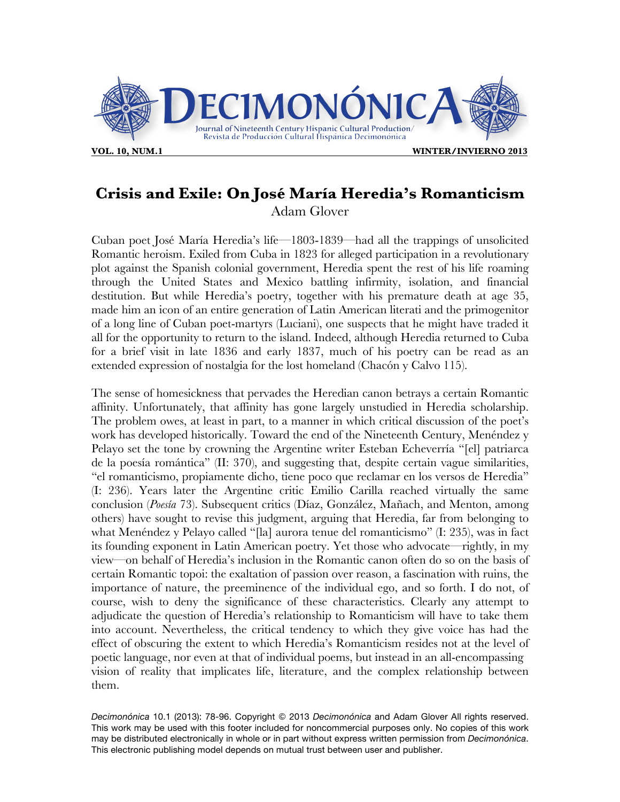

# **Crisis and Exile: On José María Heredia's Romanticism** Adam Glover

Cuban poet José María Heredia's life—1803-1839—had all the trappings of unsolicited Romantic heroism. Exiled from Cuba in 1823 for alleged participation in a revolutionary plot against the Spanish colonial government, Heredia spent the rest of his life roaming through the United States and Mexico battling infirmity, isolation, and financial destitution. But while Heredia's poetry, together with his premature death at age 35, made him an icon of an entire generation of Latin American literati and the primogenitor of a long line of Cuban poet-martyrs (Luciani), one suspects that he might have traded it all for the opportunity to return to the island. Indeed, although Heredia returned to Cuba for a brief visit in late 1836 and early 1837, much of his poetry can be read as an extended expression of nostalgia for the lost homeland (Chacón y Calvo 115).

The sense of homesickness that pervades the Heredian canon betrays a certain Romantic affinity. Unfortunately, that affinity has gone largely unstudied in Heredia scholarship. The problem owes, at least in part, to a manner in which critical discussion of the poet's work has developed historically. Toward the end of the Nineteenth Century, Menéndez y Pelayo set the tone by crowning the Argentine writer Esteban Echeverría "[el] patriarca de la poesía romántica" (II: 370), and suggesting that, despite certain vague similarities, "el romanticismo, propiamente dicho, tiene poco que reclamar en los versos de Heredia" (I: 236). Years later the Argentine critic Emilio Carilla reached virtually the same conclusion (*Poesía* 73). Subsequent critics (Díaz, González, Mañach, and Menton, among others) have sought to revise this judgment, arguing that Heredia, far from belonging to what Menéndez y Pelayo called "[la] aurora tenue del romanticismo" (I: 235), was in fact its founding exponent in Latin American poetry. Yet those who advocate—rightly, in my view—on behalf of Heredia's inclusion in the Romantic canon often do so on the basis of certain Romantic topoi: the exaltation of passion over reason, a fascination with ruins, the importance of nature, the preeminence of the individual ego, and so forth. I do not, of course, wish to deny the significance of these characteristics. Clearly any attempt to adjudicate the question of Heredia's relationship to Romanticism will have to take them into account. Nevertheless, the critical tendency to which they give voice has had the effect of obscuring the extent to which Heredia's Romanticism resides not at the level of poetic language, nor even at that of individual poems, but instead in an all-encompassing vision of reality that implicates life, literature, and the complex relationship between them.

*Decimonónica* 10.1 (2013): 78-96. Copyright © 2013 *Decimonónica* and Adam Glover All rights reserved. This work may be used with this footer included for noncommercial purposes only. No copies of this work may be distributed electronically in whole or in part without express written permission from *Decimonónica*. This electronic publishing model depends on mutual trust between user and publisher.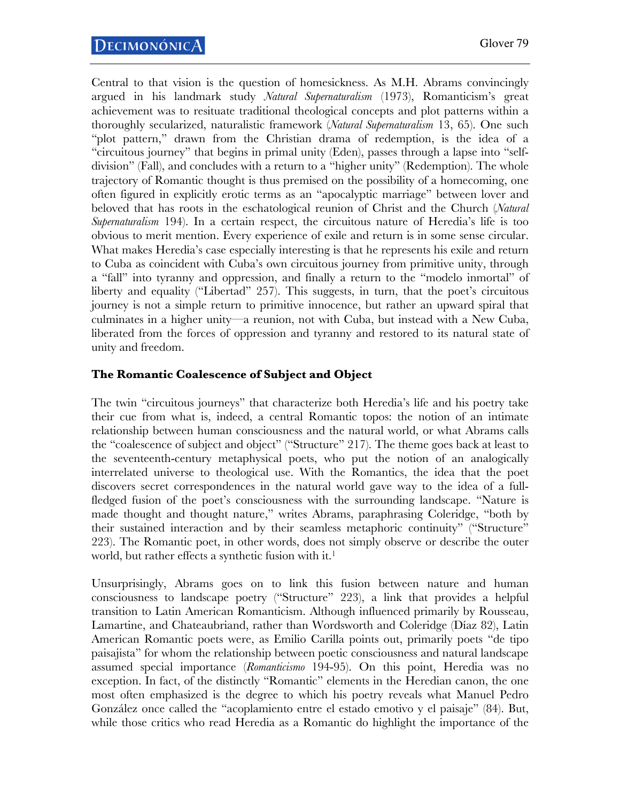Central to that vision is the question of homesickness. As M.H. Abrams convincingly argued in his landmark study *Natural Supernaturalism* (1973), Romanticism's great achievement was to resituate traditional theological concepts and plot patterns within a thoroughly secularized, naturalistic framework (*Natural Supernaturalism* 13, 65). One such "plot pattern," drawn from the Christian drama of redemption, is the idea of a "circuitous journey" that begins in primal unity (Eden), passes through a lapse into "selfdivision" (Fall), and concludes with a return to a "higher unity" (Redemption). The whole trajectory of Romantic thought is thus premised on the possibility of a homecoming, one often figured in explicitly erotic terms as an "apocalyptic marriage" between lover and beloved that has roots in the eschatological reunion of Christ and the Church (*Natural Supernaturalism* 194). In a certain respect, the circuitous nature of Heredia's life is too obvious to merit mention. Every experience of exile and return is in some sense circular. What makes Heredia's case especially interesting is that he represents his exile and return to Cuba as coincident with Cuba's own circuitous journey from primitive unity, through a "fall" into tyranny and oppression, and finally a return to the "modelo inmortal" of liberty and equality ("Libertad" 257). This suggests, in turn, that the poet's circuitous journey is not a simple return to primitive innocence, but rather an upward spiral that culminates in a higher unity—a reunion, not with Cuba, but instead with a New Cuba, liberated from the forces of oppression and tyranny and restored to its natural state of unity and freedom.

# **The Romantic Coalescence of Subject and Object**

The twin "circuitous journeys" that characterize both Heredia's life and his poetry take their cue from what is, indeed, a central Romantic topos: the notion of an intimate relationship between human consciousness and the natural world, or what Abrams calls the "coalescence of subject and object" ("Structure" 217). The theme goes back at least to the seventeenth-century metaphysical poets, who put the notion of an analogically interrelated universe to theological use. With the Romantics, the idea that the poet discovers secret correspondences in the natural world gave way to the idea of a fullfledged fusion of the poet's consciousness with the surrounding landscape. "Nature is made thought and thought nature," writes Abrams, paraphrasing Coleridge, "both by their sustained interaction and by their seamless metaphoric continuity" ("Structure" 223). The Romantic poet, in other words, does not simply observe or describe the outer world, but rather effects a synthetic fusion with it.<sup>1</sup>

Unsurprisingly, Abrams goes on to link this fusion between nature and human consciousness to landscape poetry ("Structure" 223), a link that provides a helpful transition to Latin American Romanticism. Although influenced primarily by Rousseau, Lamartine, and Chateaubriand, rather than Wordsworth and Coleridge (Díaz 82), Latin American Romantic poets were, as Emilio Carilla points out, primarily poets "de tipo paisajista" for whom the relationship between poetic consciousness and natural landscape assumed special importance (*Romanticismo* 194-95). On this point, Heredia was no exception. In fact, of the distinctly "Romantic" elements in the Heredian canon, the one most often emphasized is the degree to which his poetry reveals what Manuel Pedro González once called the "acoplamiento entre el estado emotivo y el paisaje" (84). But, while those critics who read Heredia as a Romantic do highlight the importance of the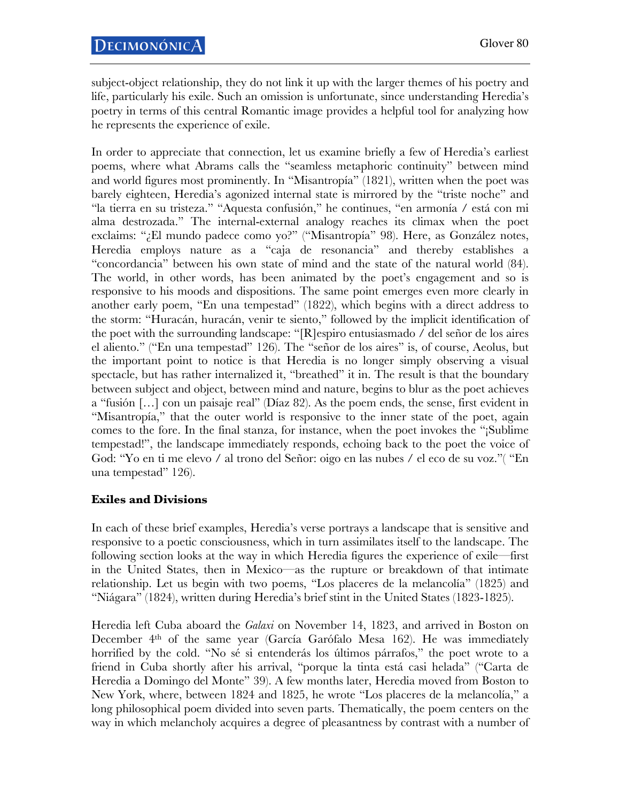subject-object relationship, they do not link it up with the larger themes of his poetry and life, particularly his exile. Such an omission is unfortunate, since understanding Heredia's poetry in terms of this central Romantic image provides a helpful tool for analyzing how he represents the experience of exile.

In order to appreciate that connection, let us examine briefly a few of Heredia's earliest poems, where what Abrams calls the "seamless metaphoric continuity" between mind and world figures most prominently. In "Misantropía" (1821), written when the poet was barely eighteen, Heredia's agonized internal state is mirrored by the "triste noche" and "la tierra en su tristeza." "Aquesta confusión," he continues, "en armonía / está con mi alma destrozada." The internal-external analogy reaches its climax when the poet exclaims: "¿El mundo padece como yo?" ("Misantropía" 98). Here, as González notes, Heredia employs nature as a "caja de resonancia" and thereby establishes a "concordancia" between his own state of mind and the state of the natural world (84). The world, in other words, has been animated by the poet's engagement and so is responsive to his moods and dispositions. The same point emerges even more clearly in another early poem, "En una tempestad" (1822), which begins with a direct address to the storm: "Huracán, huracán, venir te siento," followed by the implicit identification of the poet with the surrounding landscape: "[R]espiro entusiasmado / del señor de los aires el aliento." ("En una tempestad" 126). The "señor de los aires" is, of course, Aeolus, but the important point to notice is that Heredia is no longer simply observing a visual spectacle, but has rather internalized it, "breathed" it in. The result is that the boundary between subject and object, between mind and nature, begins to blur as the poet achieves a "fusión […] con un paisaje real" (Díaz 82). As the poem ends, the sense, first evident in "Misantropía," that the outer world is responsive to the inner state of the poet, again comes to the fore. In the final stanza, for instance, when the poet invokes the "¡Sublime tempestad!", the landscape immediately responds, echoing back to the poet the voice of God: "Yo en ti me elevo / al trono del Señor: oigo en las nubes / el eco de su voz."( "En una tempestad" 126).

# **Exiles and Divisions**

In each of these brief examples, Heredia's verse portrays a landscape that is sensitive and responsive to a poetic consciousness, which in turn assimilates itself to the landscape. The following section looks at the way in which Heredia figures the experience of exile—first in the United States, then in Mexico—as the rupture or breakdown of that intimate relationship. Let us begin with two poems, "Los placeres de la melancolía" (1825) and "Niágara" (1824), written during Heredia's brief stint in the United States (1823-1825).

Heredia left Cuba aboard the *Galaxi* on November 14, 1823, and arrived in Boston on December 4<sup>th</sup> of the same year (García Garófalo Mesa 162). He was immediately horrified by the cold. "No sé si entenderás los últimos párrafos," the poet wrote to a friend in Cuba shortly after his arrival, "porque la tinta está casi helada" ("Carta de Heredia a Domingo del Monte" 39). A few months later, Heredia moved from Boston to New York, where, between 1824 and 1825, he wrote "Los placeres de la melancolía," a long philosophical poem divided into seven parts. Thematically, the poem centers on the way in which melancholy acquires a degree of pleasantness by contrast with a number of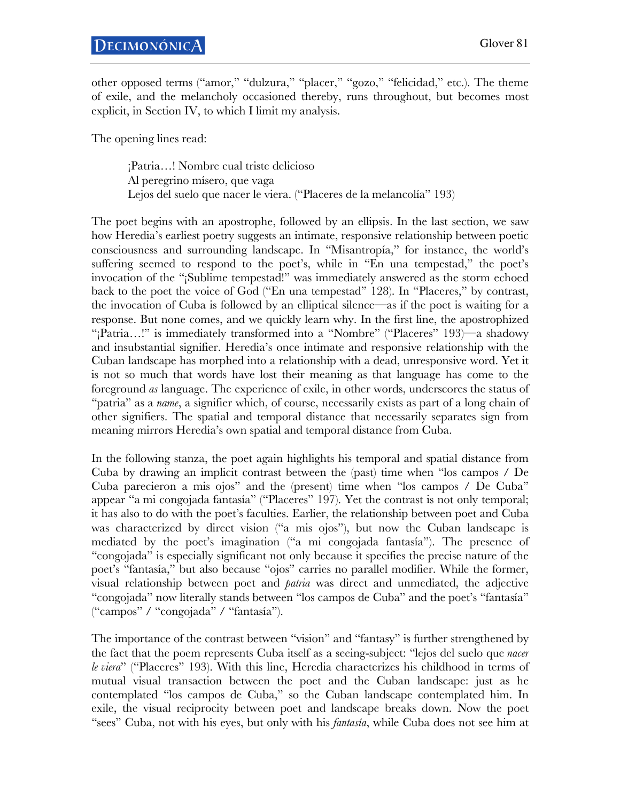other opposed terms ("amor," "dulzura," "placer," "gozo," "felicidad," etc.). The theme of exile, and the melancholy occasioned thereby, runs throughout, but becomes most explicit, in Section IV, to which I limit my analysis.

The opening lines read:

¡Patria…! Nombre cual triste delicioso Al peregrino mísero, que vaga Lejos del suelo que nacer le viera. ("Placeres de la melancolía" 193)

The poet begins with an apostrophe, followed by an ellipsis. In the last section, we saw how Heredia's earliest poetry suggests an intimate, responsive relationship between poetic consciousness and surrounding landscape. In "Misantropía," for instance, the world's suffering seemed to respond to the poet's, while in "En una tempestad," the poet's invocation of the "¡Sublime tempestad!" was immediately answered as the storm echoed back to the poet the voice of God ("En una tempestad" 128). In "Placeres," by contrast, the invocation of Cuba is followed by an elliptical silence—as if the poet is waiting for a response. But none comes, and we quickly learn why. In the first line, the apostrophized "¡Patria…!" is immediately transformed into a "Nombre" ("Placeres" 193)—a shadowy and insubstantial signifier. Heredia's once intimate and responsive relationship with the Cuban landscape has morphed into a relationship with a dead, unresponsive word. Yet it is not so much that words have lost their meaning as that language has come to the foreground *as* language. The experience of exile, in other words, underscores the status of "patria" as a *name*, a signifier which, of course, necessarily exists as part of a long chain of other signifiers. The spatial and temporal distance that necessarily separates sign from meaning mirrors Heredia's own spatial and temporal distance from Cuba.

In the following stanza, the poet again highlights his temporal and spatial distance from Cuba by drawing an implicit contrast between the (past) time when "los campos / De Cuba parecieron a mis ojos" and the (present) time when "los campos / De Cuba" appear "a mi congojada fantasía" ("Placeres" 197). Yet the contrast is not only temporal; it has also to do with the poet's faculties. Earlier, the relationship between poet and Cuba was characterized by direct vision ("a mis ojos"), but now the Cuban landscape is mediated by the poet's imagination ("a mi congojada fantasía"). The presence of "congojada" is especially significant not only because it specifies the precise nature of the poet's "fantasía," but also because "ojos" carries no parallel modifier. While the former, visual relationship between poet and *patria* was direct and unmediated, the adjective "congojada" now literally stands between "los campos de Cuba" and the poet's "fantasía" ("campos" / "congojada" / "fantasía").

The importance of the contrast between "vision" and "fantasy" is further strengthened by the fact that the poem represents Cuba itself as a seeing-subject: "lejos del suelo que *nacer le viera*" ("Placeres" 193). With this line, Heredia characterizes his childhood in terms of mutual visual transaction between the poet and the Cuban landscape: just as he contemplated "los campos de Cuba," so the Cuban landscape contemplated him. In exile, the visual reciprocity between poet and landscape breaks down. Now the poet "sees" Cuba, not with his eyes, but only with his *fantasía*, while Cuba does not see him at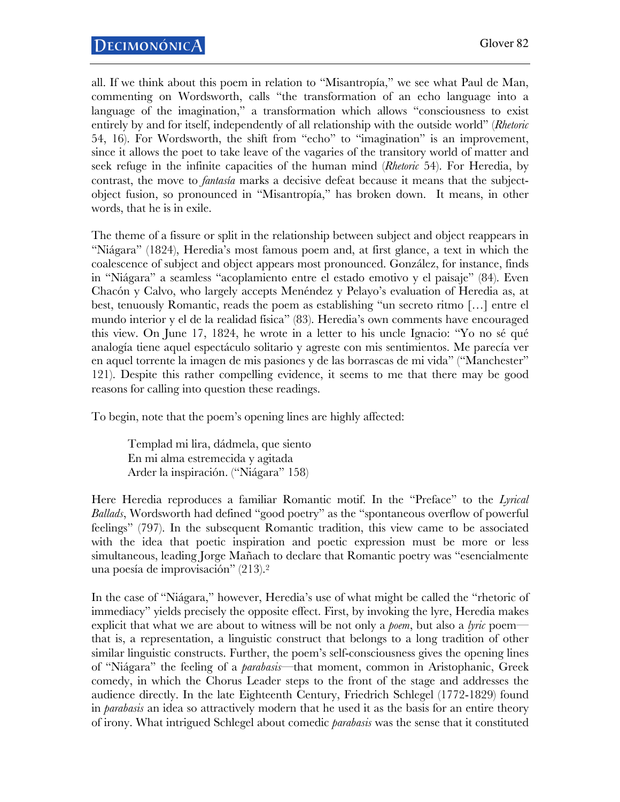all. If we think about this poem in relation to "Misantropía," we see what Paul de Man, commenting on Wordsworth, calls "the transformation of an echo language into a language of the imagination," a transformation which allows "consciousness to exist entirely by and for itself, independently of all relationship with the outside world" (*Rhetoric* 54, 16). For Wordsworth, the shift from "echo" to "imagination" is an improvement, since it allows the poet to take leave of the vagaries of the transitory world of matter and seek refuge in the infinite capacities of the human mind (*Rhetoric* 54). For Heredia, by contrast, the move to *fantasía* marks a decisive defeat because it means that the subjectobject fusion, so pronounced in "Misantropía," has broken down. It means, in other words, that he is in exile.

The theme of a fissure or split in the relationship between subject and object reappears in "Niágara" (1824), Heredia's most famous poem and, at first glance, a text in which the coalescence of subject and object appears most pronounced. González, for instance, finds in "Niágara" a seamless "acoplamiento entre el estado emotivo y el paisaje" (84). Even Chacón y Calvo, who largely accepts Menéndez y Pelayo's evaluation of Heredia as, at best, tenuously Romantic, reads the poem as establishing "un secreto ritmo […] entre el mundo interior y el de la realidad física" (83). Heredia's own comments have encouraged this view. On June 17, 1824, he wrote in a letter to his uncle Ignacio: "Yo no sé qué analogía tiene aquel espectáculo solitario y agreste con mis sentimientos. Me parecía ver en aquel torrente la imagen de mis pasiones y de las borrascas de mi vida" ("Manchester" 121). Despite this rather compelling evidence, it seems to me that there may be good reasons for calling into question these readings.

To begin, note that the poem's opening lines are highly affected:

Templad mi lira, dádmela, que siento En mi alma estremecida y agitada Arder la inspiración. ("Niágara" 158)

Here Heredia reproduces a familiar Romantic motif. In the "Preface" to the *Lyrical Ballads*, Wordsworth had defined "good poetry" as the "spontaneous overflow of powerful feelings" (797). In the subsequent Romantic tradition, this view came to be associated with the idea that poetic inspiration and poetic expression must be more or less simultaneous, leading Jorge Mañach to declare that Romantic poetry was "esencialmente una poesía de improvisación" (213).2

In the case of "Niágara," however, Heredia's use of what might be called the "rhetoric of immediacy" yields precisely the opposite effect. First, by invoking the lyre, Heredia makes explicit that what we are about to witness will be not only a *poem*, but also a *lyric* poem that is, a representation, a linguistic construct that belongs to a long tradition of other similar linguistic constructs. Further, the poem's self-consciousness gives the opening lines of "Niágara" the feeling of a *parabasis*—that moment, common in Aristophanic, Greek comedy, in which the Chorus Leader steps to the front of the stage and addresses the audience directly. In the late Eighteenth Century, Friedrich Schlegel (1772-1829) found in *parabasis* an idea so attractively modern that he used it as the basis for an entire theory of irony. What intrigued Schlegel about comedic *parabasis* was the sense that it constituted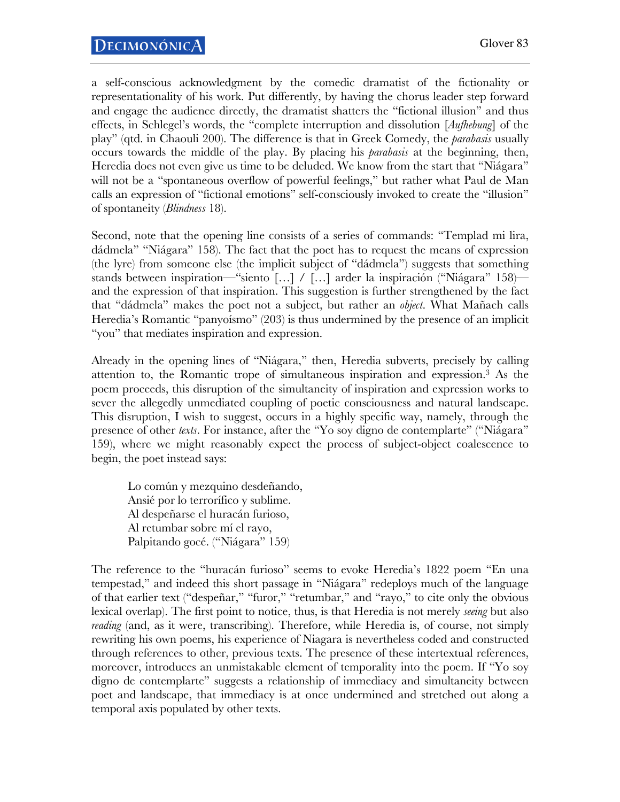a self-conscious acknowledgment by the comedic dramatist of the fictionality or representationality of his work. Put differently, by having the chorus leader step forward and engage the audience directly, the dramatist shatters the "fictional illusion" and thus effects, in Schlegel's words, the "complete interruption and dissolution [*Aufhebung*] of the play" (qtd. in Chaouli 200). The difference is that in Greek Comedy, the *parabasis* usually occurs towards the middle of the play. By placing his *parabasis* at the beginning, then, Heredia does not even give us time to be deluded. We know from the start that "Niágara" will not be a "spontaneous overflow of powerful feelings," but rather what Paul de Man calls an expression of "fictional emotions" self-consciously invoked to create the "illusion" of spontaneity (*Blindness* 18).

Second, note that the opening line consists of a series of commands: "Templad mi lira, dádmela" "Niágara" 158). The fact that the poet has to request the means of expression (the lyre) from someone else (the implicit subject of "dádmela") suggests that something stands between inspiration—"siento […] / […] arder la inspiración ("Niágara" 158) and the expression of that inspiration. This suggestion is further strengthened by the fact that "dádmela" makes the poet not a subject, but rather an *object*. What Mañach calls Heredia's Romantic "panyoísmo" (203) is thus undermined by the presence of an implicit "you" that mediates inspiration and expression.

Already in the opening lines of "Niágara," then, Heredia subverts, precisely by calling attention to, the Romantic trope of simultaneous inspiration and expression.3 As the poem proceeds, this disruption of the simultaneity of inspiration and expression works to sever the allegedly unmediated coupling of poetic consciousness and natural landscape. This disruption, I wish to suggest, occurs in a highly specific way, namely, through the presence of other *texts*. For instance, after the "Yo soy digno de contemplarte" ("Niágara" 159), where we might reasonably expect the process of subject-object coalescence to begin, the poet instead says:

Lo común y mezquino desdeñando, Ansié por lo terrorífico y sublime. Al despeñarse el huracán furioso, Al retumbar sobre mí el rayo, Palpitando gocé. ("Niágara" 159)

The reference to the "huracán furioso" seems to evoke Heredia's 1822 poem "En una tempestad," and indeed this short passage in "Niágara" redeploys much of the language of that earlier text ("despeñar," "furor," "retumbar," and "rayo," to cite only the obvious lexical overlap). The first point to notice, thus, is that Heredia is not merely *seeing* but also *reading* (and, as it were, transcribing). Therefore, while Heredia is, of course, not simply rewriting his own poems, his experience of Niagara is nevertheless coded and constructed through references to other, previous texts. The presence of these intertextual references, moreover, introduces an unmistakable element of temporality into the poem. If "Yo soy digno de contemplarte" suggests a relationship of immediacy and simultaneity between poet and landscape, that immediacy is at once undermined and stretched out along a temporal axis populated by other texts.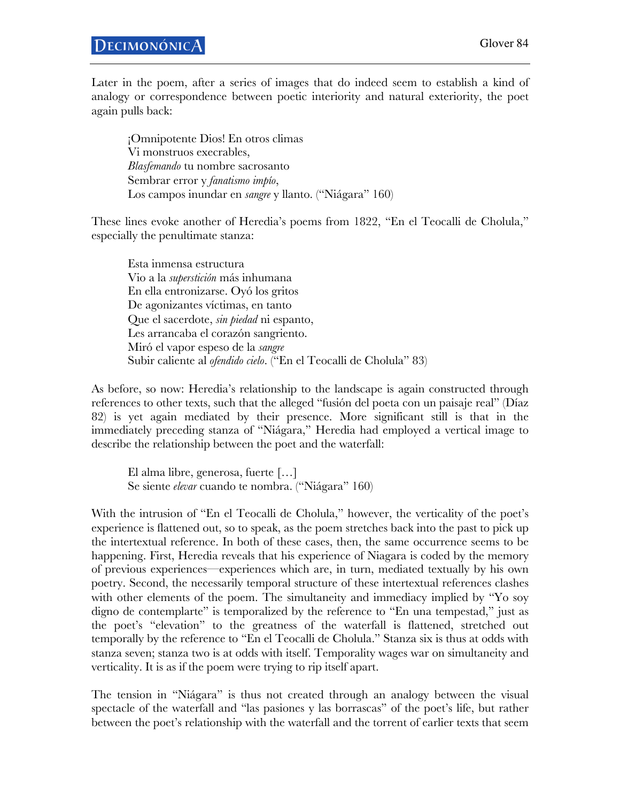Later in the poem, after a series of images that do indeed seem to establish a kind of analogy or correspondence between poetic interiority and natural exteriority, the poet again pulls back:

¡Omnipotente Dios! En otros climas Vi monstruos execrables, *Blasfemando* tu nombre sacrosanto Sembrar error y *fanatismo impío*, Los campos inundar en *sangre* y llanto. ("Niágara" 160)

These lines evoke another of Heredia's poems from 1822, "En el Teocalli de Cholula," especially the penultimate stanza:

Esta inmensa estructura Vio a la *superstición* más inhumana En ella entronizarse. Oyó los gritos De agonizantes víctimas, en tanto Que el sacerdote, *sin piedad* ni espanto, Les arrancaba el corazón sangriento. Miró el vapor espeso de la *sangre* Subir caliente al *ofendido cielo*. ("En el Teocalli de Cholula" 83)

As before, so now: Heredia's relationship to the landscape is again constructed through references to other texts, such that the alleged "fusión del poeta con un paisaje real" (Díaz 82) is yet again mediated by their presence. More significant still is that in the immediately preceding stanza of "Niágara," Heredia had employed a vertical image to describe the relationship between the poet and the waterfall:

El alma libre, generosa, fuerte […] Se siente *elevar* cuando te nombra. ("Niágara" 160)

With the intrusion of "En el Teocalli de Cholula," however, the verticality of the poet's experience is flattened out, so to speak, as the poem stretches back into the past to pick up the intertextual reference. In both of these cases, then, the same occurrence seems to be happening. First, Heredia reveals that his experience of Niagara is coded by the memory of previous experiences—experiences which are, in turn, mediated textually by his own poetry. Second, the necessarily temporal structure of these intertextual references clashes with other elements of the poem. The simultaneity and immediacy implied by "Yo soy digno de contemplarte" is temporalized by the reference to "En una tempestad," just as the poet's "elevation" to the greatness of the waterfall is flattened, stretched out temporally by the reference to "En el Teocalli de Cholula." Stanza six is thus at odds with stanza seven; stanza two is at odds with itself. Temporality wages war on simultaneity and verticality. It is as if the poem were trying to rip itself apart.

The tension in "Niágara" is thus not created through an analogy between the visual spectacle of the waterfall and "las pasiones y las borrascas" of the poet's life, but rather between the poet's relationship with the waterfall and the torrent of earlier texts that seem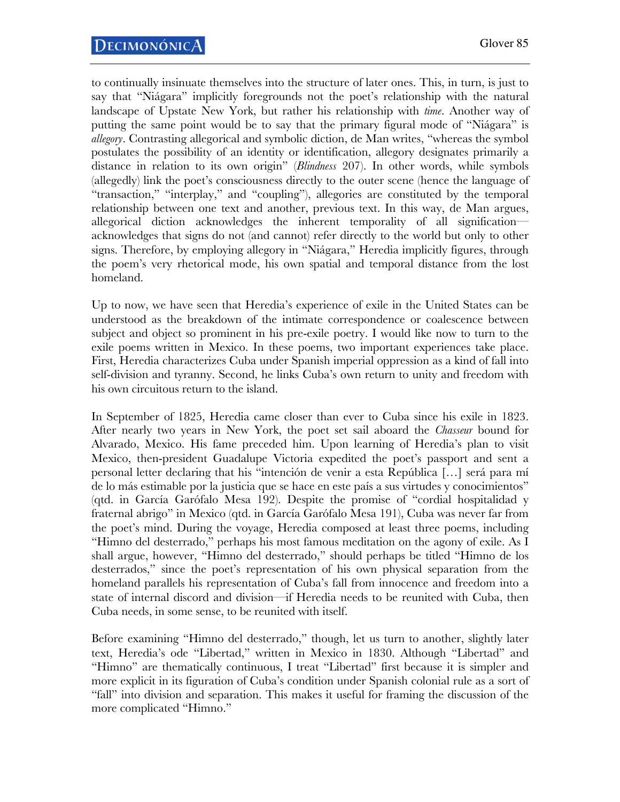to continually insinuate themselves into the structure of later ones. This, in turn, is just to say that "Niágara" implicitly foregrounds not the poet's relationship with the natural landscape of Upstate New York, but rather his relationship with *time*. Another way of putting the same point would be to say that the primary figural mode of "Niágara" is *allegory*. Contrasting allegorical and symbolic diction, de Man writes, "whereas the symbol postulates the possibility of an identity or identification, allegory designates primarily a distance in relation to its own origin" (*Blindness* 207). In other words, while symbols (allegedly) link the poet's consciousness directly to the outer scene (hence the language of "transaction," "interplay," and "coupling"), allegories are constituted by the temporal relationship between one text and another, previous text. In this way, de Man argues, allegorical diction acknowledges the inherent temporality of all signification acknowledges that signs do not (and cannot) refer directly to the world but only to other signs. Therefore, by employing allegory in "Niágara," Heredia implicitly figures, through the poem's very rhetorical mode, his own spatial and temporal distance from the lost homeland.

Up to now, we have seen that Heredia's experience of exile in the United States can be understood as the breakdown of the intimate correspondence or coalescence between subject and object so prominent in his pre-exile poetry. I would like now to turn to the exile poems written in Mexico. In these poems, two important experiences take place. First, Heredia characterizes Cuba under Spanish imperial oppression as a kind of fall into self-division and tyranny. Second, he links Cuba's own return to unity and freedom with his own circuitous return to the island.

In September of 1825, Heredia came closer than ever to Cuba since his exile in 1823. After nearly two years in New York, the poet set sail aboard the *Chasseur* bound for Alvarado, Mexico. His fame preceded him. Upon learning of Heredia's plan to visit Mexico, then-president Guadalupe Victoria expedited the poet's passport and sent a personal letter declaring that his "intención de venir a esta República […] será para mí de lo más estimable por la justicia que se hace en este país a sus virtudes y conocimientos" (qtd. in García Garófalo Mesa 192). Despite the promise of "cordial hospitalidad y fraternal abrigo" in Mexico (qtd. in García Garófalo Mesa 191), Cuba was never far from the poet's mind. During the voyage, Heredia composed at least three poems, including "Himno del desterrado," perhaps his most famous meditation on the agony of exile. As I shall argue, however, "Himno del desterrado," should perhaps be titled "Himno de los desterrados," since the poet's representation of his own physical separation from the homeland parallels his representation of Cuba's fall from innocence and freedom into a state of internal discord and division—if Heredia needs to be reunited with Cuba, then Cuba needs, in some sense, to be reunited with itself.

Before examining "Himno del desterrado," though, let us turn to another, slightly later text, Heredia's ode "Libertad," written in Mexico in 1830. Although "Libertad" and "Himno" are thematically continuous, I treat "Libertad" first because it is simpler and more explicit in its figuration of Cuba's condition under Spanish colonial rule as a sort of "fall" into division and separation. This makes it useful for framing the discussion of the more complicated "Himno."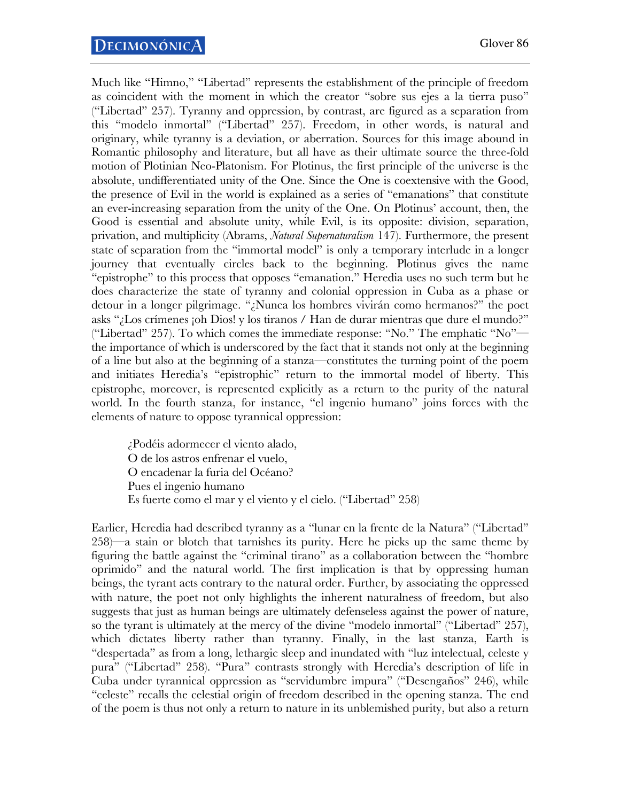Much like "Himno," "Libertad" represents the establishment of the principle of freedom as coincident with the moment in which the creator "sobre sus ejes a la tierra puso" ("Libertad" 257). Tyranny and oppression, by contrast, are figured as a separation from this "modelo inmortal" ("Libertad" 257). Freedom, in other words, is natural and originary, while tyranny is a deviation, or aberration. Sources for this image abound in Romantic philosophy and literature, but all have as their ultimate source the three-fold motion of Plotinian Neo-Platonism. For Plotinus, the first principle of the universe is the absolute, undifferentiated unity of the One. Since the One is coextensive with the Good, the presence of Evil in the world is explained as a series of "emanations" that constitute an ever-increasing separation from the unity of the One. On Plotinus' account, then, the Good is essential and absolute unity, while Evil, is its opposite: division, separation, privation, and multiplicity (Abrams, *Natural Supernaturalism* 147). Furthermore, the present state of separation from the "immortal model" is only a temporary interlude in a longer journey that eventually circles back to the beginning. Plotinus gives the name "epistrophe" to this process that opposes "emanation." Heredia uses no such term but he does characterize the state of tyranny and colonial oppression in Cuba as a phase or detour in a longer pilgrimage. "¿Nunca los hombres vivirán como hermanos?" the poet asks "¿Los crímenes ¡oh Dios! y los tiranos / Han de durar mientras que dure el mundo?" ("Libertad" 257). To which comes the immediate response: "No." The emphatic "No"— $\sim$ the importance of which is underscored by the fact that it stands not only at the beginning of a line but also at the beginning of a stanza—constitutes the turning point of the poem and initiates Heredia's "epistrophic" return to the immortal model of liberty. This epistrophe, moreover, is represented explicitly as a return to the purity of the natural world. In the fourth stanza, for instance, "el ingenio humano" joins forces with the elements of nature to oppose tyrannical oppression:

¿Podéis adormecer el viento alado, O de los astros enfrenar el vuelo, O encadenar la furia del Océano? Pues el ingenio humano Es fuerte como el mar y el viento y el cielo. ("Libertad" 258)

Earlier, Heredia had described tyranny as a "lunar en la frente de la Natura" ("Libertad" 258)—a stain or blotch that tarnishes its purity. Here he picks up the same theme by figuring the battle against the "criminal tirano" as a collaboration between the "hombre oprimido" and the natural world. The first implication is that by oppressing human beings, the tyrant acts contrary to the natural order. Further, by associating the oppressed with nature, the poet not only highlights the inherent naturalness of freedom, but also suggests that just as human beings are ultimately defenseless against the power of nature, so the tyrant is ultimately at the mercy of the divine "modelo inmortal" ("Libertad" 257), which dictates liberty rather than tyranny. Finally, in the last stanza, Earth is "despertada" as from a long, lethargic sleep and inundated with "luz intelectual, celeste y pura" ("Libertad" 258). "Pura" contrasts strongly with Heredia's description of life in Cuba under tyrannical oppression as "servidumbre impura" ("Desengaños" 246), while "celeste" recalls the celestial origin of freedom described in the opening stanza. The end of the poem is thus not only a return to nature in its unblemished purity, but also a return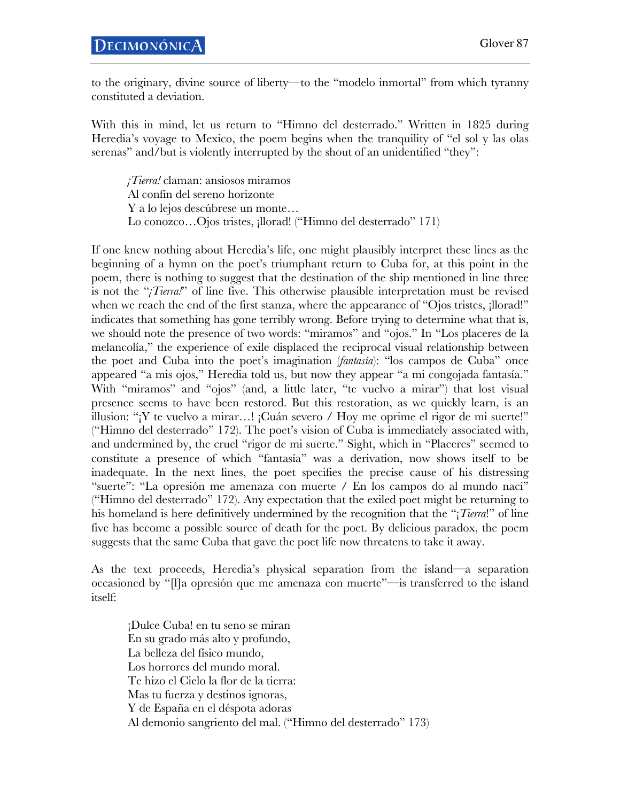to the originary, divine source of liberty—to the "modelo inmortal" from which tyranny constituted a deviation.

With this in mind, let us return to "Himno del desterrado." Written in 1825 during Heredia's voyage to Mexico, the poem begins when the tranquility of "el sol y las olas serenas" and/but is violently interrupted by the shout of an unidentified "they":

*¡Tierra!* claman: ansiosos miramos Al confín del sereno horizonte Y a lo lejos descúbrese un monte… Lo conozco…Ojos tristes, ¡llorad! ("Himno del desterrado" 171)

If one knew nothing about Heredia's life, one might plausibly interpret these lines as the beginning of a hymn on the poet's triumphant return to Cuba for, at this point in the poem, there is nothing to suggest that the destination of the ship mentioned in line three is not the "*¡Tierra!*" of line five. This otherwise plausible interpretation must be revised when we reach the end of the first stanza, where the appearance of "Ojos tristes, illorad!" indicates that something has gone terribly wrong. Before trying to determine what that is, we should note the presence of two words: "miramos" and "ojos." In "Los placeres de la melancolía," the experience of exile displaced the reciprocal visual relationship between the poet and Cuba into the poet's imagination (*fantasía*): "los campos de Cuba" once appeared "a mis ojos," Heredia told us, but now they appear "a mi congojada fantasía." With "miramos" and "ojos" (and, a little later, "te vuelvo a mirar") that lost visual presence seems to have been restored. But this restoration, as we quickly learn, is an illusion: "¡Y te vuelvo a mirar…! ¡Cuán severo / Hoy me oprime el rigor de mi suerte!" ("Himno del desterrado" 172). The poet's vision of Cuba is immediately associated with, and undermined by, the cruel "rigor de mi suerte." Sight, which in "Placeres" seemed to constitute a presence of which "fantasía" was a derivation, now shows itself to be inadequate. In the next lines, the poet specifies the precise cause of his distressing "suerte": "La opresión me amenaza con muerte / En los campos do al mundo nací" ("Himno del desterrado" 172). Any expectation that the exiled poet might be returning to his homeland is here definitively undermined by the recognition that the "¡*Tierra*!" of line five has become a possible source of death for the poet. By delicious paradox, the poem suggests that the same Cuba that gave the poet life now threatens to take it away.

As the text proceeds, Heredia's physical separation from the island—a separation occasioned by "[l]a opresión que me amenaza con muerte"—is transferred to the island itself:

¡Dulce Cuba! en tu seno se miran En su grado más alto y profundo, La belleza del físico mundo, Los horrores del mundo moral. Te hizo el Cielo la flor de la tierra: Mas tu fuerza y destinos ignoras, Y de España en el déspota adoras Al demonio sangriento del mal. ("Himno del desterrado" 173)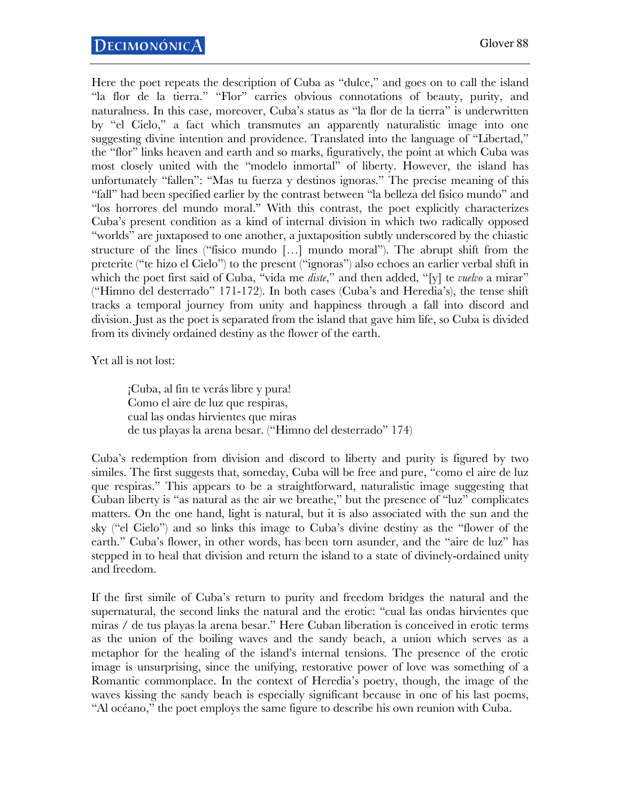Here the poet repeats the description of Cuba as "dulce," and goes on to call the island "la flor de la tierra." "Flor" carries obvious connotations of beauty, purity, and naturalness. In this case, moreover, Cuba's status as "la flor de la tierra" is underwritten by "el Cielo," a fact which transmutes an apparently naturalistic image into one suggesting divine intention and providence. Translated into the language of "Libertad," the "flor" links heaven and earth and so marks, figuratively, the point at which Cuba was most closely united with the "modelo inmortal" of liberty. However, the island has unfortunately "fallen": "Mas tu fuerza y destinos ignoras." The precise meaning of this "fall" had been specified earlier by the contrast between "la belleza del físico mundo" and "los horrores del mundo moral." With this contrast, the poet explicitly characterizes Cuba's present condition as a kind of internal division in which two radically opposed "worlds" are juxtaposed to one another, a juxtaposition subtly underscored by the chiastic structure of the lines ("físico mundo […] mundo moral"). The abrupt shift from the preterite ("te hizo el Cielo") to the present ("ignoras") also echoes an earlier verbal shift in which the poet first said of Cuba, "vida me *diste*," and then added, "[y] te *vuelvo* a mirar" ("Himno del desterrado" 171-172). In both cases (Cuba's and Heredia's), the tense shift tracks a temporal journey from unity and happiness through a fall into discord and division. Just as the poet is separated from the island that gave him life, so Cuba is divided from its divinely ordained destiny as the flower of the earth.

Yet all is not lost:

¡Cuba, al fin te verás libre y pura! Como el aire de luz que respiras, cual las ondas hirvientes que miras de tus playas la arena besar. ("Himno del desterrado" 174)

Cuba's redemption from division and discord to liberty and purity is figured by two similes. The first suggests that, someday, Cuba will be free and pure, "como el aire de luz que respiras." This appears to be a straightforward, naturalistic image suggesting that Cuban liberty is "as natural as the air we breathe," but the presence of "luz" complicates matters. On the one hand, light is natural, but it is also associated with the sun and the sky ("el Cielo") and so links this image to Cuba's divine destiny as the "flower of the earth." Cuba's flower, in other words, has been torn asunder, and the "aire de luz" has stepped in to heal that division and return the island to a state of divinely-ordained unity and freedom.

If the first simile of Cuba's return to purity and freedom bridges the natural and the supernatural, the second links the natural and the erotic: "cual las ondas hirvientes que miras / de tus playas la arena besar." Here Cuban liberation is conceived in erotic terms as the union of the boiling waves and the sandy beach, a union which serves as a metaphor for the healing of the island's internal tensions. The presence of the erotic image is unsurprising, since the unifying, restorative power of love was something of a Romantic commonplace. In the context of Heredia's poetry, though, the image of the waves kissing the sandy beach is especially significant because in one of his last poems, "Al océano," the poet employs the same figure to describe his own reunion with Cuba.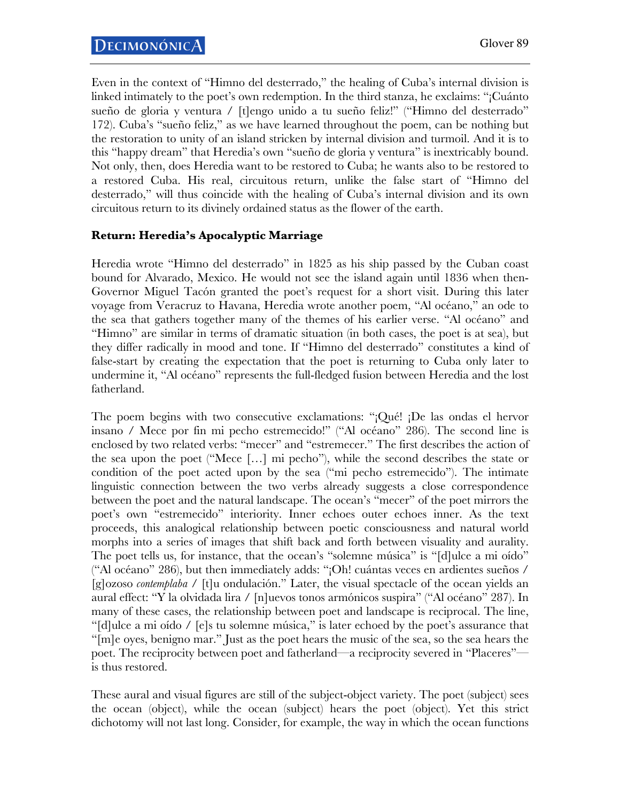Even in the context of "Himno del desterrado," the healing of Cuba's internal division is linked intimately to the poet's own redemption. In the third stanza, he exclaims: "¡Cuánto sueño de gloria y ventura / [t]engo unido a tu sueño feliz!" ("Himno del desterrado" 172). Cuba's "sueño feliz," as we have learned throughout the poem, can be nothing but the restoration to unity of an island stricken by internal division and turmoil. And it is to this "happy dream" that Heredia's own "sueño de gloria y ventura" is inextricably bound. Not only, then, does Heredia want to be restored to Cuba; he wants also to be restored to a restored Cuba. His real, circuitous return, unlike the false start of "Himno del desterrado," will thus coincide with the healing of Cuba's internal division and its own circuitous return to its divinely ordained status as the flower of the earth.

## **Return: Heredia's Apocalyptic Marriage**

Heredia wrote "Himno del desterrado" in 1825 as his ship passed by the Cuban coast bound for Alvarado, Mexico. He would not see the island again until 1836 when then-Governor Miguel Tacón granted the poet's request for a short visit. During this later voyage from Veracruz to Havana, Heredia wrote another poem, "Al océano," an ode to the sea that gathers together many of the themes of his earlier verse. "Al océano" and "Himno" are similar in terms of dramatic situation (in both cases, the poet is at sea), but they differ radically in mood and tone. If "Himno del desterrado" constitutes a kind of false-start by creating the expectation that the poet is returning to Cuba only later to undermine it, "Al océano" represents the full-fledged fusion between Heredia and the lost fatherland.

The poem begins with two consecutive exclamations: "¡Qué! ¡De las ondas el hervor insano / Mece por fin mi pecho estremecido!" ("Al océano" 286). The second line is enclosed by two related verbs: "mecer" and "estremecer." The first describes the action of the sea upon the poet ("Mece […] mi pecho"), while the second describes the state or condition of the poet acted upon by the sea ("mi pecho estremecido"). The intimate linguistic connection between the two verbs already suggests a close correspondence between the poet and the natural landscape. The ocean's "mecer" of the poet mirrors the poet's own "estremecido" interiority. Inner echoes outer echoes inner. As the text proceeds, this analogical relationship between poetic consciousness and natural world morphs into a series of images that shift back and forth between visuality and aurality. The poet tells us, for instance, that the ocean's "solemne música" is "[d]ulce a mi oído" ("Al océano" 286), but then immediately adds: "¡Oh! cuántas veces en ardientes sueños / [g]ozoso *contemplaba* / [t]u ondulación." Later, the visual spectacle of the ocean yields an aural effect: "Y la olvidada lira / [n]uevos tonos armónicos suspira" ("Al océano" 287). In many of these cases, the relationship between poet and landscape is reciprocal. The line, "[d]ulce a mi oído / [e]s tu solemne música," is later echoed by the poet's assurance that "[m]e oyes, benigno mar." Just as the poet hears the music of the sea, so the sea hears the poet. The reciprocity between poet and fatherland—a reciprocity severed in "Placeres" is thus restored.

These aural and visual figures are still of the subject-object variety. The poet (subject) sees the ocean (object), while the ocean (subject) hears the poet (object). Yet this strict dichotomy will not last long. Consider, for example, the way in which the ocean functions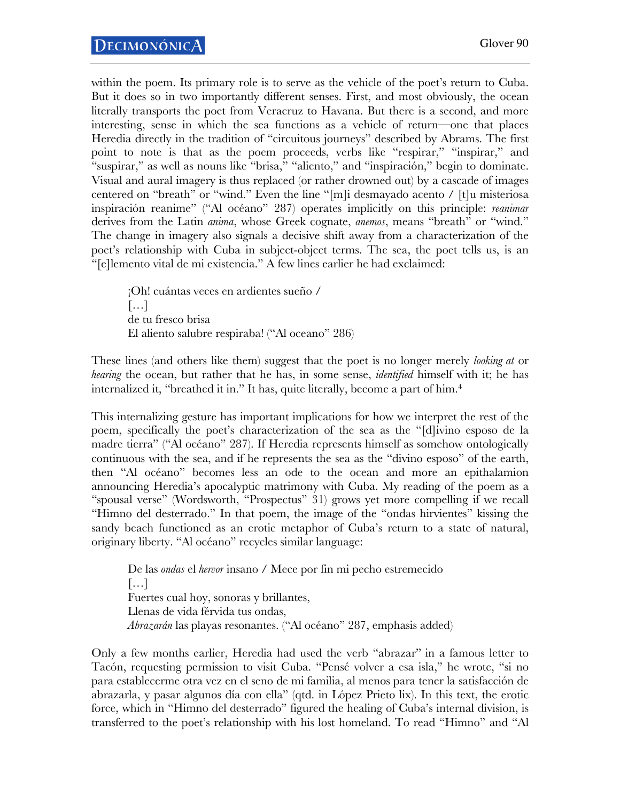within the poem. Its primary role is to serve as the vehicle of the poet's return to Cuba. But it does so in two importantly different senses. First, and most obviously, the ocean literally transports the poet from Veracruz to Havana. But there is a second, and more interesting, sense in which the sea functions as a vehicle of return—one that places Heredia directly in the tradition of "circuitous journeys" described by Abrams. The first point to note is that as the poem proceeds, verbs like "respirar," "inspirar," and "suspirar," as well as nouns like "brisa," "aliento," and "inspiración," begin to dominate. Visual and aural imagery is thus replaced (or rather drowned out) by a cascade of images centered on "breath" or "wind." Even the line "[m]i desmayado acento / [t]u misteriosa inspiración reanime" ("Al océano" 287) operates implicitly on this principle: *reanimar* derives from the Latin *anima*, whose Greek cognate, *anemos*, means "breath" or "wind." The change in imagery also signals a decisive shift away from a characterization of the poet's relationship with Cuba in subject-object terms. The sea, the poet tells us, is an "[e]lemento vital de mi existencia." A few lines earlier he had exclaimed:

¡Oh! cuántas veces en ardientes sueño / […] de tu fresco brisa El aliento salubre respiraba! ("Al oceano" 286)

These lines (and others like them) suggest that the poet is no longer merely *looking at* or *hearing* the ocean, but rather that he has, in some sense, *identified* himself with it; he has internalized it, "breathed it in." It has, quite literally, become a part of him.<sup>4</sup>

This internalizing gesture has important implications for how we interpret the rest of the poem, specifically the poet's characterization of the sea as the "[d]ivino esposo de la madre tierra" ("Al océano" 287). If Heredia represents himself as somehow ontologically continuous with the sea, and if he represents the sea as the "divino esposo" of the earth, then "Al océano" becomes less an ode to the ocean and more an epithalamion announcing Heredia's apocalyptic matrimony with Cuba. My reading of the poem as a "spousal verse" (Wordsworth, "Prospectus" 31) grows yet more compelling if we recall "Himno del desterrado." In that poem, the image of the "ondas hirvientes" kissing the sandy beach functioned as an erotic metaphor of Cuba's return to a state of natural, originary liberty. "Al océano" recycles similar language:

De las *ondas* el *hervor* insano / Mece por fin mi pecho estremecido […] Fuertes cual hoy, sonoras y brillantes, Llenas de vida férvida tus ondas, *Abrazarán* las playas resonantes. ("Al océano" 287, emphasis added)

Only a few months earlier, Heredia had used the verb "abrazar" in a famous letter to Tacón, requesting permission to visit Cuba. "Pensé volver a esa isla," he wrote, "si no para establecerme otra vez en el seno de mi familia, al menos para tener la satisfacción de abrazarla, y pasar algunos día con ella" (qtd. in López Prieto lix). In this text, the erotic force, which in "Himno del desterrado" figured the healing of Cuba's internal division, is transferred to the poet's relationship with his lost homeland. To read "Himno" and "Al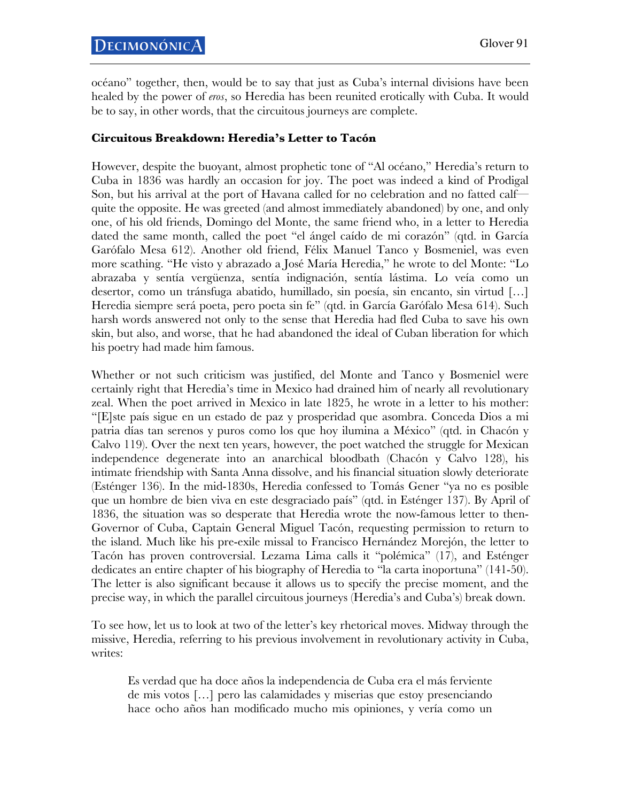océano" together, then, would be to say that just as Cuba's internal divisions have been healed by the power of *eros*, so Heredia has been reunited erotically with Cuba. It would be to say, in other words, that the circuitous journeys are complete.

## **Circuitous Breakdown: Heredia's Letter to Tacón**

However, despite the buoyant, almost prophetic tone of "Al océano," Heredia's return to Cuba in 1836 was hardly an occasion for joy. The poet was indeed a kind of Prodigal Son, but his arrival at the port of Havana called for no celebration and no fatted calf quite the opposite. He was greeted (and almost immediately abandoned) by one, and only one, of his old friends, Domingo del Monte, the same friend who, in a letter to Heredia dated the same month, called the poet "el ángel caído de mi corazón" (qtd. in García Garófalo Mesa 612). Another old friend, Félix Manuel Tanco y Bosmeniel, was even more scathing. "He visto y abrazado a José María Heredia," he wrote to del Monte: "Lo abrazaba y sentía vergüenza, sentía indignación, sentía lástima. Lo veía como un desertor, como un tránsfuga abatido, humillado, sin poesía, sin encanto, sin virtud […] Heredia siempre será poeta, pero poeta sin fe" (qtd. in García Garófalo Mesa 614). Such harsh words answered not only to the sense that Heredia had fled Cuba to save his own skin, but also, and worse, that he had abandoned the ideal of Cuban liberation for which his poetry had made him famous.

Whether or not such criticism was justified, del Monte and Tanco y Bosmeniel were certainly right that Heredia's time in Mexico had drained him of nearly all revolutionary zeal. When the poet arrived in Mexico in late 1825, he wrote in a letter to his mother: "[E]ste país sigue en un estado de paz y prosperidad que asombra. Conceda Dios a mi patria días tan serenos y puros como los que hoy ilumina a México" (qtd. in Chacón y Calvo 119). Over the next ten years, however, the poet watched the struggle for Mexican independence degenerate into an anarchical bloodbath (Chacón y Calvo 128), his intimate friendship with Santa Anna dissolve, and his financial situation slowly deteriorate (Esténger 136). In the mid-1830s, Heredia confessed to Tomás Gener "ya no es posible que un hombre de bien viva en este desgraciado país" (qtd. in Esténger 137). By April of 1836, the situation was so desperate that Heredia wrote the now-famous letter to then-Governor of Cuba, Captain General Miguel Tacón, requesting permission to return to the island. Much like his pre-exile missal to Francisco Hernández Morejón, the letter to Tacón has proven controversial. Lezama Lima calls it "polémica" (17), and Esténger dedicates an entire chapter of his biography of Heredia to "la carta inoportuna" (141-50). The letter is also significant because it allows us to specify the precise moment, and the precise way, in which the parallel circuitous journeys (Heredia's and Cuba's) break down.

To see how, let us to look at two of the letter's key rhetorical moves. Midway through the missive, Heredia, referring to his previous involvement in revolutionary activity in Cuba, writes:

Es verdad que ha doce años la independencia de Cuba era el más ferviente de mis votos […] pero las calamidades y miserias que estoy presenciando hace ocho años han modificado mucho mis opiniones, y vería como un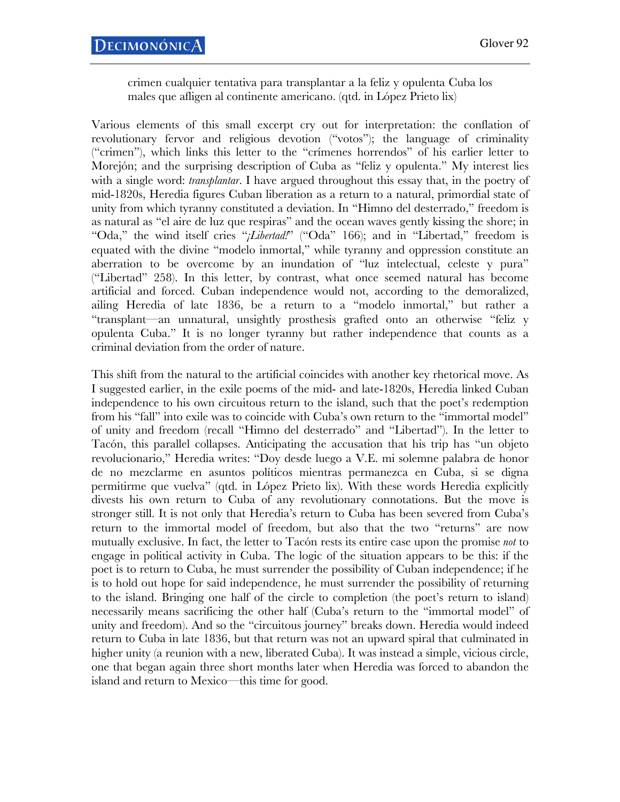crimen cualquier tentativa para transplantar a la feliz y opulenta Cuba los males que afligen al continente americano. (qtd. in López Prieto lix)

Various elements of this small excerpt cry out for interpretation: the conflation of revolutionary fervor and religious devotion ("votos"); the language of criminality ("crimen"), which links this letter to the "crímenes horrendos" of his earlier letter to Morejón; and the surprising description of Cuba as "feliz y opulenta." My interest lies with a single word: *transplantar*. I have argued throughout this essay that, in the poetry of mid-1820s, Heredia figures Cuban liberation as a return to a natural, primordial state of unity from which tyranny constituted a deviation. In "Himno del desterrado," freedom is as natural as "el aire de luz que respiras" and the ocean waves gently kissing the shore; in "Oda," the wind itself cries "*¡Libertad!*" ("Oda" 166); and in "Libertad," freedom is equated with the divine "modelo inmortal," while tyranny and oppression constitute an aberration to be overcome by an inundation of "luz intelectual, celeste y pura" ("Libertad" 258). In this letter, by contrast, what once seemed natural has become artificial and forced. Cuban independence would not, according to the demoralized, ailing Heredia of late 1836, be a return to a "modelo inmortal," but rather a "transplant—an unnatural, unsightly prosthesis grafted onto an otherwise "feliz y opulenta Cuba." It is no longer tyranny but rather independence that counts as a criminal deviation from the order of nature.

This shift from the natural to the artificial coincides with another key rhetorical move. As I suggested earlier, in the exile poems of the mid- and late-1820s, Heredia linked Cuban independence to his own circuitous return to the island, such that the poet's redemption from his "fall" into exile was to coincide with Cuba's own return to the "immortal model" of unity and freedom (recall "Himno del desterrado" and "Libertad"). In the letter to Tacón, this parallel collapses. Anticipating the accusation that his trip has "un objeto revolucionario," Heredia writes: "Doy desde luego a V.E. mi solemne palabra de honor de no mezclarme en asuntos políticos mientras permanezca en Cuba, si se digna permitirme que vuelva" (qtd. in López Prieto lix). With these words Heredia explicitly divests his own return to Cuba of any revolutionary connotations. But the move is stronger still. It is not only that Heredia's return to Cuba has been severed from Cuba's return to the immortal model of freedom, but also that the two "returns" are now mutually exclusive. In fact, the letter to Tacón rests its entire case upon the promise *not* to engage in political activity in Cuba. The logic of the situation appears to be this: if the poet is to return to Cuba, he must surrender the possibility of Cuban independence; if he is to hold out hope for said independence, he must surrender the possibility of returning to the island. Bringing one half of the circle to completion (the poet's return to island) necessarily means sacrificing the other half (Cuba's return to the "immortal model" of unity and freedom). And so the "circuitous journey" breaks down. Heredia would indeed return to Cuba in late 1836, but that return was not an upward spiral that culminated in higher unity (a reunion with a new, liberated Cuba). It was instead a simple, vicious circle, one that began again three short months later when Heredia was forced to abandon the island and return to Mexico—this time for good.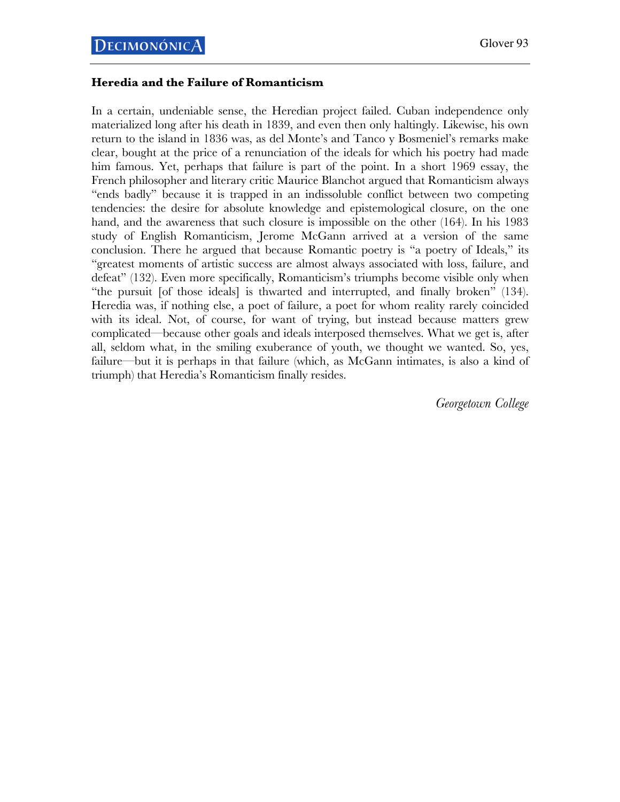### **Heredia and the Failure of Romanticism**

In a certain, undeniable sense, the Heredian project failed. Cuban independence only materialized long after his death in 1839, and even then only haltingly. Likewise, his own return to the island in 1836 was, as del Monte's and Tanco y Bosmeniel's remarks make clear, bought at the price of a renunciation of the ideals for which his poetry had made him famous. Yet, perhaps that failure is part of the point. In a short 1969 essay, the French philosopher and literary critic Maurice Blanchot argued that Romanticism always "ends badly" because it is trapped in an indissoluble conflict between two competing tendencies: the desire for absolute knowledge and epistemological closure, on the one hand, and the awareness that such closure is impossible on the other (164). In his 1983 study of English Romanticism, Jerome McGann arrived at a version of the same conclusion. There he argued that because Romantic poetry is "a poetry of Ideals," its "greatest moments of artistic success are almost always associated with loss, failure, and defeat" (132). Even more specifically, Romanticism's triumphs become visible only when "the pursuit [of those ideals] is thwarted and interrupted, and finally broken" (134). Heredia was, if nothing else, a poet of failure, a poet for whom reality rarely coincided with its ideal. Not, of course, for want of trying, but instead because matters grew complicated—because other goals and ideals interposed themselves. What we get is, after all, seldom what, in the smiling exuberance of youth, we thought we wanted. So, yes, failure—but it is perhaps in that failure (which, as McGann intimates, is also a kind of triumph) that Heredia's Romanticism finally resides.

*Georgetown College*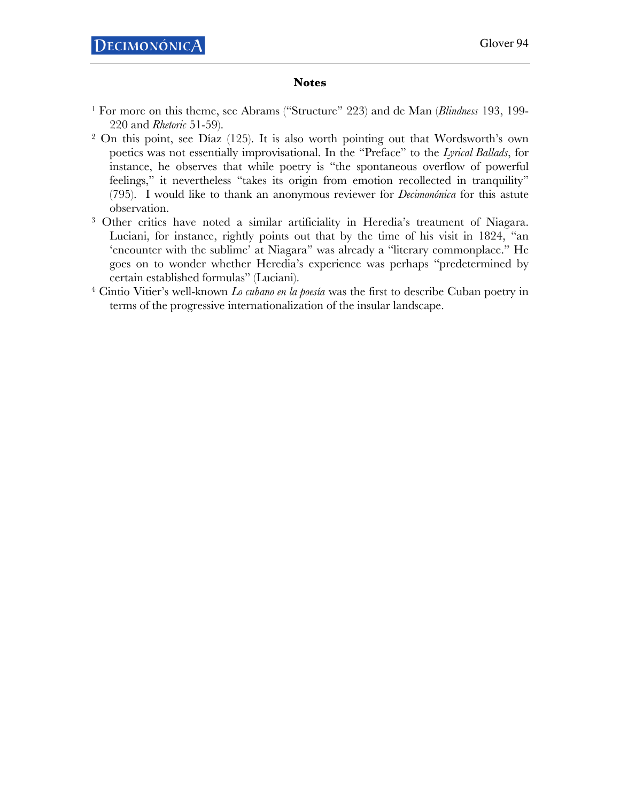#### **Notes**

- <sup>1</sup> For more on this theme, see Abrams ("Structure" 223) and de Man (*Blindness* 193, 199- 220 and *Rhetoric* 51-59).
- <sup>2</sup> On this point, see Díaz (125). It is also worth pointing out that Wordsworth's own poetics was not essentially improvisational. In the "Preface" to the *Lyrical Ballads*, for instance, he observes that while poetry is "the spontaneous overflow of powerful feelings," it nevertheless "takes its origin from emotion recollected in tranquility" (795). I would like to thank an anonymous reviewer for *Decimonónica* for this astute observation.
- <sup>3</sup> Other critics have noted a similar artificiality in Heredia's treatment of Niagara. Luciani, for instance, rightly points out that by the time of his visit in 1824, "an 'encounter with the sublime' at Niagara" was already a "literary commonplace." He goes on to wonder whether Heredia's experience was perhaps "predetermined by certain established formulas" (Luciani).
- <sup>4</sup> Cintio Vitier's well-known *Lo cubano en la poesía* was the first to describe Cuban poetry in terms of the progressive internationalization of the insular landscape.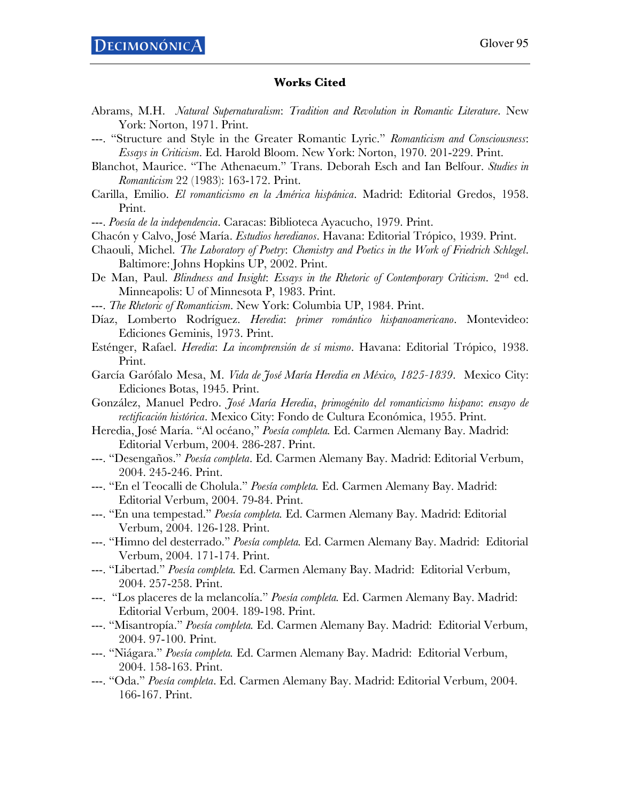### **Works Cited**

- Abrams, M.H. *Natural Supernaturalism*: *Tradition and Revolution in Romantic Literature*. New York: Norton, 1971. Print.
- ---. "Structure and Style in the Greater Romantic Lyric." *Romanticism and Consciousness*: *Essays in Criticism*. Ed. Harold Bloom. New York: Norton, 1970. 201-229. Print.
- Blanchot, Maurice. "The Athenaeum." Trans. Deborah Esch and Ian Belfour. *Studies in Romanticism* 22 (1983): 163-172. Print.
- Carilla, Emilio. *El romanticismo en la América hispánica*. Madrid: Editorial Gredos, 1958. Print.
- ---. *Poesía de la independencia*. Caracas: Biblioteca Ayacucho, 1979. Print.
- Chacón y Calvo, José María. *Estudios heredianos*. Havana: Editorial Trópico, 1939. Print.
- Chaouli, Michel. *The Laboratory of Poetry*: *Chemistry and Poetics in the Work of Friedrich Schlegel*. Baltimore: Johns Hopkins UP, 2002. Print.
- De Man, Paul. *Blindness and Insight*: *Essays in the Rhetoric of Contemporary Criticism*. 2nd ed. Minneapolis: U of Minnesota P, 1983. Print.
- ---. *The Rhetoric of Romanticism*. New York: Columbia UP, 1984. Print.
- Díaz, Lomberto Rodríguez. *Heredia*: *primer romántico hispanoamericano*. Montevideo: Ediciones Geminis, 1973. Print.
- Esténger, Rafael. *Heredia*: *La incomprensión de sí mismo*. Havana: Editorial Trópico, 1938. Print.
- García Garófalo Mesa, M. *Vida de José María Heredia en México, 1825-1839*. Mexico City: Ediciones Botas, 1945. Print.
- González, Manuel Pedro. *José María Heredia*, *primogénito del romanticismo hispano*: *ensayo de rectificación histórica*. Mexico City: Fondo de Cultura Económica, 1955. Print.
- Heredia, José María. "Al océano," *Poesía completa.* Ed. Carmen Alemany Bay. Madrid: Editorial Verbum, 2004. 286-287. Print.
- ---. "Desengaños." *Poesía completa*. Ed. Carmen Alemany Bay. Madrid: Editorial Verbum, 2004. 245-246. Print.
- ---. "En el Teocalli de Cholula." *Poesía completa.* Ed. Carmen Alemany Bay. Madrid: Editorial Verbum, 2004. 79-84. Print.
- ---. "En una tempestad." *Poesía completa.* Ed. Carmen Alemany Bay. Madrid: Editorial Verbum, 2004. 126-128. Print.
- ---. "Himno del desterrado." *Poesía completa.* Ed. Carmen Alemany Bay. Madrid: Editorial Verbum, 2004. 171-174. Print.
- ---. "Libertad." *Poesía completa.* Ed. Carmen Alemany Bay. Madrid: Editorial Verbum, 2004. 257-258. Print.
- ---. "Los placeres de la melancolía." *Poesía completa.* Ed. Carmen Alemany Bay. Madrid: Editorial Verbum, 2004. 189-198. Print.
- ---. "Misantropía." *Poesía completa.* Ed. Carmen Alemany Bay. Madrid: Editorial Verbum, 2004. 97-100. Print.
- ---. "Niágara." *Poesía completa.* Ed. Carmen Alemany Bay. Madrid: Editorial Verbum, 2004. 158-163. Print.
- ---. "Oda." *Poesía completa*. Ed. Carmen Alemany Bay. Madrid: Editorial Verbum, 2004. 166-167. Print.